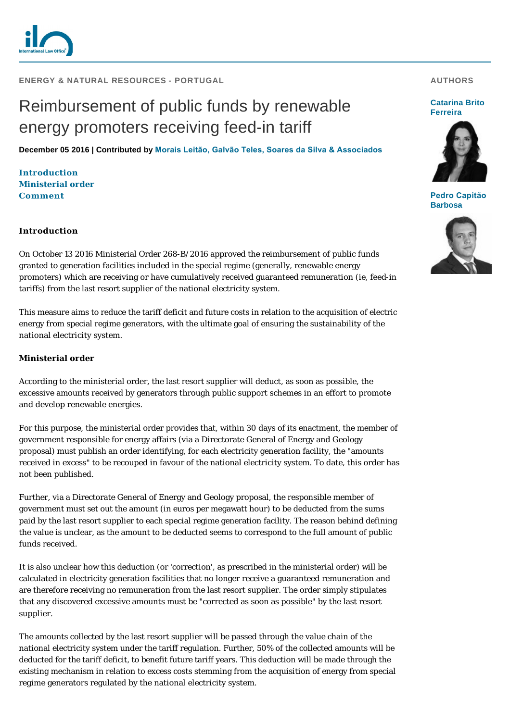

**ENERGY & NATURAL RESOURCES - PORTUGAL** 

# Reimbursement of public funds by renewable energy promoters receiving feed-in tariff

**December 05 2016 | Contributed by [Morais Leitão, Galvão Teles, Soares da Silva & Associados](http://www.internationallawoffice.com/gesr.ashx?l=7T5FGUR)**

**[Introduction](#page-0-0) [Ministerial order](#page-0-1) [Comment](#page-1-0)**

#### <span id="page-0-0"></span>**Introduction**

On October 13 2016 Ministerial Order 268-B/2016 approved the reimbursement of public funds granted to generation facilities included in the special regime (generally, renewable energy promoters) which are receiving or have cumulatively received guaranteed remuneration (ie, feed-in tariffs) from the last resort supplier of the national electricity system.

This measure aims to reduce the tariff deficit and future costs in relation to the acquisition of electric energy from special regime generators, with the ultimate goal of ensuring the sustainability of the national electricity system.

### <span id="page-0-1"></span>**Ministerial order**

According to the ministerial order, the last resort supplier will deduct, as soon as possible, the excessive amounts received by generators through public support schemes in an effort to promote and develop renewable energies.

For this purpose, the ministerial order provides that, within 30 days of its enactment, the member of government responsible for energy affairs (via a Directorate General of Energy and Geology proposal) must publish an order identifying, for each electricity generation facility, the "amounts received in excess" to be recouped in favour of the national electricity system. To date, this order has not been published.

Further, via a Directorate General of Energy and Geology proposal, the responsible member of government must set out the amount (in euros per megawatt hour) to be deducted from the sums paid by the last resort supplier to each special regime generation facility. The reason behind defining the value is unclear, as the amount to be deducted seems to correspond to the full amount of public funds received.

It is also unclear how this deduction (or 'correction', as prescribed in the ministerial order) will be calculated in electricity generation facilities that no longer receive a guaranteed remuneration and are therefore receiving no remuneration from the last resort supplier. The order simply stipulates that any discovered excessive amounts must be "corrected as soon as possible" by the last resort supplier.

The amounts collected by the last resort supplier will be passed through the value chain of the national electricity system under the tariff regulation. Further, 50% of the collected amounts will be deducted for the tariff deficit, to benefit future tariff years. This deduction will be made through the existing mechanism in relation to excess costs stemming from the acquisition of energy from special regime generators regulated by the national electricity system.

### **AUTHORS**

#### **[Catarina Brito](http://www.internationallawoffice.com/gesr.ashx?l=7T5FGV0)  Ferreira**



**[Pedro Capitão](http://www.internationallawoffice.com/gesr.ashx?l=7T5FGVQ)  Barbosa**